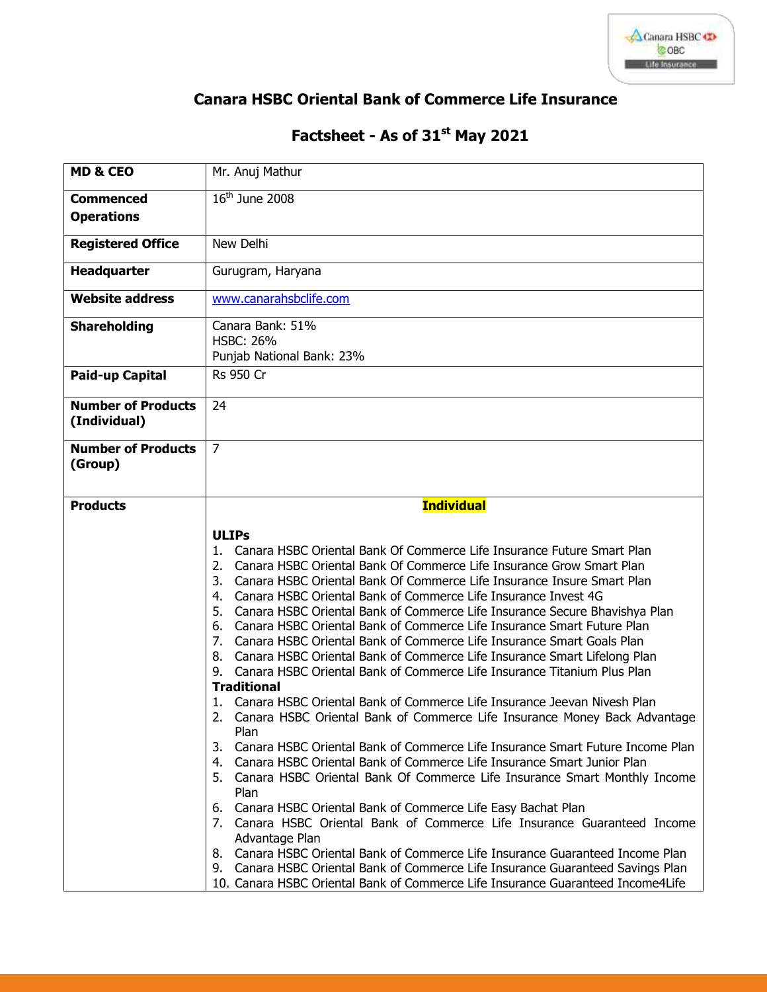

## **Canara HSBC Oriental Bank of Commerce Life Insurance**

## **Factsheet - As of 31 st May 2021**

| <b>MD &amp; CEO</b>                       | Mr. Anuj Mathur                                                                                                                          |
|-------------------------------------------|------------------------------------------------------------------------------------------------------------------------------------------|
| <b>Commenced</b>                          | $16th$ June 2008                                                                                                                         |
| <b>Operations</b>                         |                                                                                                                                          |
| <b>Registered Office</b>                  | New Delhi                                                                                                                                |
| Headquarter                               | Gurugram, Haryana                                                                                                                        |
| <b>Website address</b>                    | www.canarahsbclife.com                                                                                                                   |
| <b>Shareholding</b>                       | Canara Bank: 51%<br><b>HSBC: 26%</b>                                                                                                     |
|                                           | Punjab National Bank: 23%                                                                                                                |
| Paid-up Capital                           | <b>Rs 950 Cr</b>                                                                                                                         |
| <b>Number of Products</b><br>(Individual) | 24                                                                                                                                       |
| <b>Number of Products</b><br>(Group)      | $\overline{7}$                                                                                                                           |
| <b>Products</b>                           | <b>Individual</b>                                                                                                                        |
|                                           | <b>ULIPs</b>                                                                                                                             |
|                                           |                                                                                                                                          |
|                                           |                                                                                                                                          |
|                                           | 1. Canara HSBC Oriental Bank Of Commerce Life Insurance Future Smart Plan                                                                |
|                                           | 2. Canara HSBC Oriental Bank Of Commerce Life Insurance Grow Smart Plan                                                                  |
|                                           | 3. Canara HSBC Oriental Bank Of Commerce Life Insurance Insure Smart Plan                                                                |
|                                           | 4. Canara HSBC Oriental Bank of Commerce Life Insurance Invest 4G                                                                        |
|                                           | 5. Canara HSBC Oriental Bank of Commerce Life Insurance Secure Bhavishya Plan                                                            |
|                                           | 6. Canara HSBC Oriental Bank of Commerce Life Insurance Smart Future Plan                                                                |
|                                           | 7. Canara HSBC Oriental Bank of Commerce Life Insurance Smart Goals Plan                                                                 |
|                                           | 8. Canara HSBC Oriental Bank of Commerce Life Insurance Smart Lifelong Plan                                                              |
|                                           | 9. Canara HSBC Oriental Bank of Commerce Life Insurance Titanium Plus Plan                                                               |
|                                           | <b>Traditional</b>                                                                                                                       |
|                                           | 1. Canara HSBC Oriental Bank of Commerce Life Insurance Jeevan Nivesh Plan                                                               |
|                                           | 2. Canara HSBC Oriental Bank of Commerce Life Insurance Money Back Advantage                                                             |
|                                           | Plan<br>Canara HSBC Oriental Bank of Commerce Life Insurance Smart Future Income Plan<br>3.                                              |
|                                           | Canara HSBC Oriental Bank of Commerce Life Insurance Smart Junior Plan<br>4.                                                             |
|                                           | 5. Canara HSBC Oriental Bank Of Commerce Life Insurance Smart Monthly Income                                                             |
|                                           | Plan                                                                                                                                     |
|                                           | 6.                                                                                                                                       |
|                                           | Canara HSBC Oriental Bank of Commerce Life Easy Bachat Plan<br>7. Canara HSBC Oriental Bank of Commerce Life Insurance Guaranteed Income |
|                                           | Advantage Plan                                                                                                                           |
|                                           | 8. Canara HSBC Oriental Bank of Commerce Life Insurance Guaranteed Income Plan                                                           |
|                                           | Canara HSBC Oriental Bank of Commerce Life Insurance Guaranteed Savings Plan<br>9.                                                       |